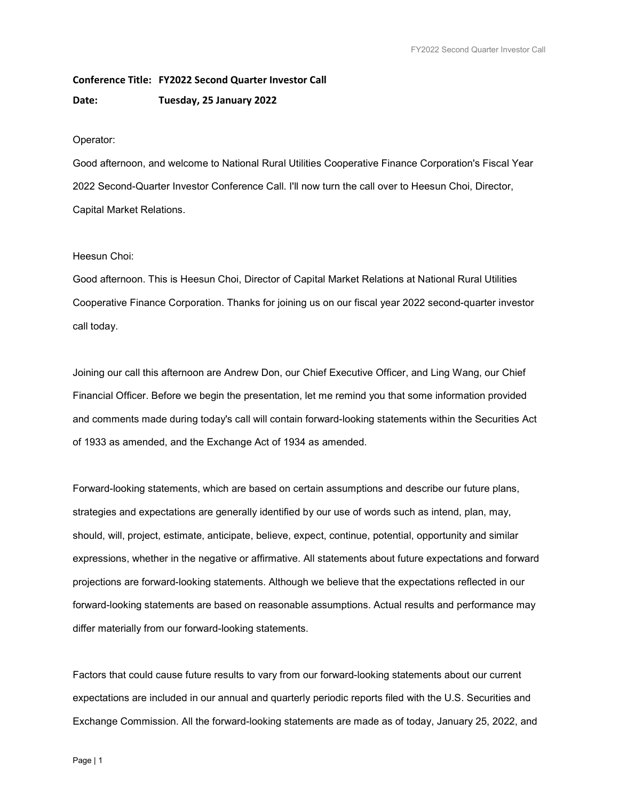Conference Title: FY2022 Second Quarter Investor Call Date: Tuesday, 25 January 2022

# Operator:

Good afternoon, and welcome to National Rural Utilities Cooperative Finance Corporation's Fiscal Year 2022 Second-Quarter Investor Conference Call. I'll now turn the call over to Heesun Choi, Director, Capital Market Relations.

# Heesun Choi:

Good afternoon. This is Heesun Choi, Director of Capital Market Relations at National Rural Utilities Cooperative Finance Corporation. Thanks for joining us on our fiscal year 2022 second-quarter investor call today.

Joining our call this afternoon are Andrew Don, our Chief Executive Officer, and Ling Wang, our Chief Financial Officer. Before we begin the presentation, let me remind you that some information provided and comments made during today's call will contain forward-looking statements within the Securities Act of 1933 as amended, and the Exchange Act of 1934 as amended.

Forward-looking statements, which are based on certain assumptions and describe our future plans, strategies and expectations are generally identified by our use of words such as intend, plan, may, should, will, project, estimate, anticipate, believe, expect, continue, potential, opportunity and similar expressions, whether in the negative or affirmative. All statements about future expectations and forward projections are forward-looking statements. Although we believe that the expectations reflected in our forward-looking statements are based on reasonable assumptions. Actual results and performance may differ materially from our forward-looking statements.

Factors that could cause future results to vary from our forward-looking statements about our current expectations are included in our annual and quarterly periodic reports filed with the U.S. Securities and Exchange Commission. All the forward-looking statements are made as of today, January 25, 2022, and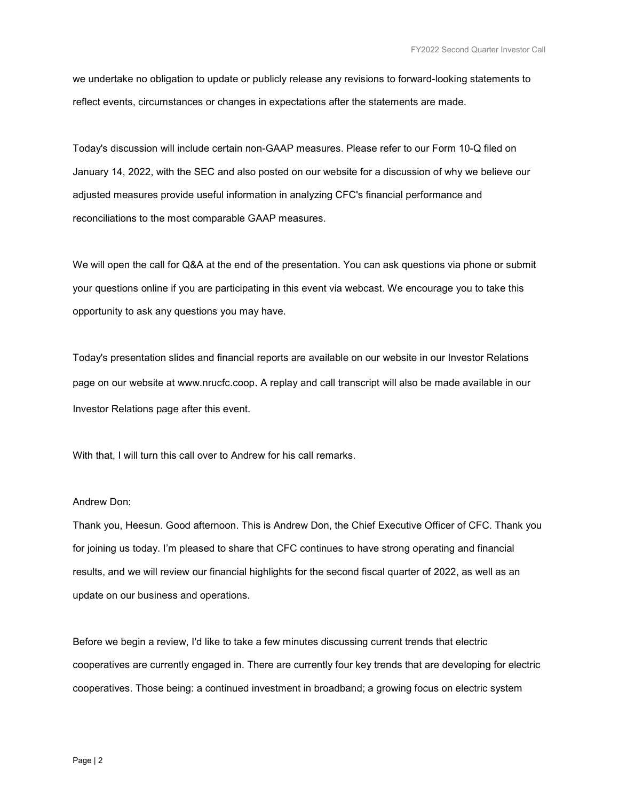we undertake no obligation to update or publicly release any revisions to forward-looking statements to reflect events, circumstances or changes in expectations after the statements are made.

Today's discussion will include certain non-GAAP measures. Please refer to our Form 10-Q filed on January 14, 2022, with the SEC and also posted on our website for a discussion of why we believe our adjusted measures provide useful information in analyzing CFC's financial performance and reconciliations to the most comparable GAAP measures.

We will open the call for Q&A at the end of the presentation. You can ask questions via phone or submit your questions online if you are participating in this event via webcast. We encourage you to take this opportunity to ask any questions you may have.

Today's presentation slides and financial reports are available on our website in our Investor Relations page on our website at www.nrucfc.coop. A replay and call transcript will also be made available in our Investor Relations page after this event.

With that, I will turn this call over to Andrew for his call remarks.

#### Andrew Don:

Thank you, Heesun. Good afternoon. This is Andrew Don, the Chief Executive Officer of CFC. Thank you for joining us today. I'm pleased to share that CFC continues to have strong operating and financial results, and we will review our financial highlights for the second fiscal quarter of 2022, as well as an update on our business and operations.

Before we begin a review, I'd like to take a few minutes discussing current trends that electric cooperatives are currently engaged in. There are currently four key trends that are developing for electric cooperatives. Those being: a continued investment in broadband; a growing focus on electric system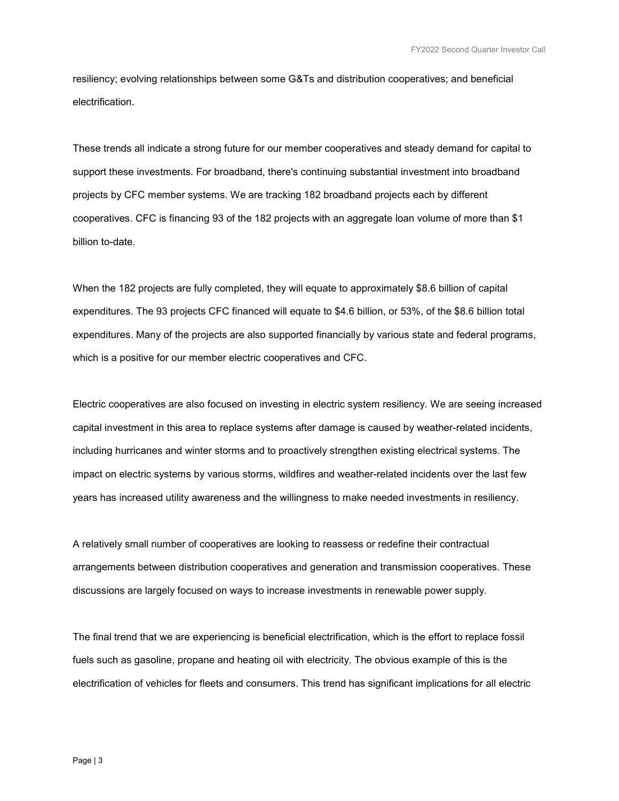resiliency; evolving relationships between some G&Ts and distribution cooperatives; and beneficial electrification.

These trends all indicate a strong future for our member cooperatives and steady demand for capital to support these investments. For broadband, there's continuing substantial investment into broadband projects by CFC member systems. We are tracking 182 broadband projects each by different cooperatives. CFC is financing 93 of the 182 projects with an aggregate loan volume of more than \$1 billion to-date.

When the 182 projects are fully completed, they will equate to approximately \$8.6 billion of capital expenditures. The 93 projects CFC financed will equate to \$4.6 billion, or 53%, of the \$8.6 billion total expenditures. Many of the projects are also supported financially by various state and federal programs, which is a positive for our member electric cooperatives and CFC.

Electric cooperatives are also focused on investing in electric system resiliency. We are seeing increased capital investment in this area to replace systems after damage is caused by weather-related incidents, including hurricanes and winter storms and to proactively strengthen existing electrical systems. The impact on electric systems by various storms, wildfires and weather-related incidents over the last few years has increased utility awareness and the willingness to make needed investments in resiliency.

A relatively small number of cooperatives are looking to reassess or redefine their contractual arrangements between distribution cooperatives and generation and transmission cooperatives. These discussions are largely focused on ways to increase investments in renewable power supply.

The final trend that we are experiencing is beneficial electrification, which is the effort to replace fossil fuels such as gasoline, propane and heating oil with electricity. The obvious example of this is the electrification of vehicles for fleets and consumers. This trend has significant implications for all electric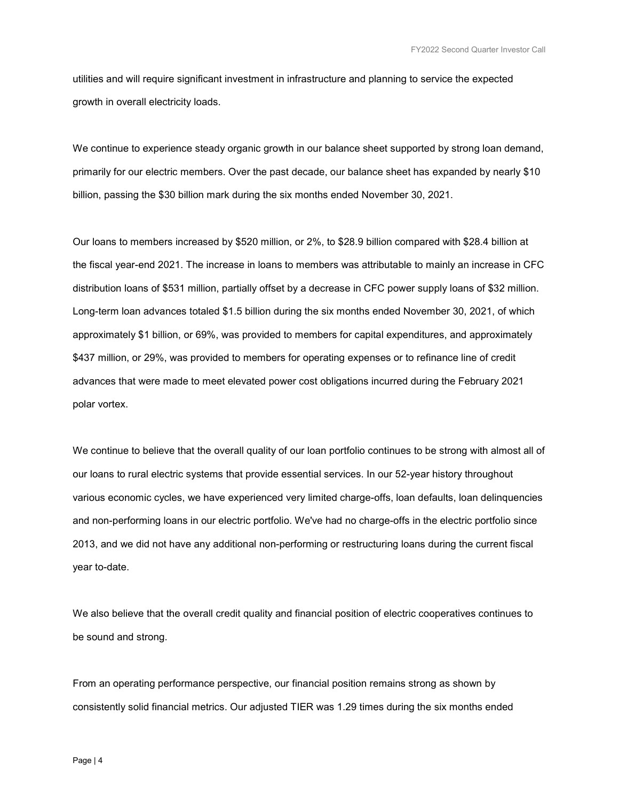utilities and will require significant investment in infrastructure and planning to service the expected growth in overall electricity loads.

We continue to experience steady organic growth in our balance sheet supported by strong loan demand, primarily for our electric members. Over the past decade, our balance sheet has expanded by nearly \$10 billion, passing the \$30 billion mark during the six months ended November 30, 2021.

Our loans to members increased by \$520 million, or 2%, to \$28.9 billion compared with \$28.4 billion at the fiscal year-end 2021. The increase in loans to members was attributable to mainly an increase in CFC distribution loans of \$531 million, partially offset by a decrease in CFC power supply loans of \$32 million. Long-term loan advances totaled \$1.5 billion during the six months ended November 30, 2021, of which approximately \$1 billion, or 69%, was provided to members for capital expenditures, and approximately \$437 million, or 29%, was provided to members for operating expenses or to refinance line of credit advances that were made to meet elevated power cost obligations incurred during the February 2021 polar vortex.

We continue to believe that the overall quality of our loan portfolio continues to be strong with almost all of our loans to rural electric systems that provide essential services. In our 52-year history throughout various economic cycles, we have experienced very limited charge-offs, loan defaults, loan delinquencies and non-performing loans in our electric portfolio. We've had no charge-offs in the electric portfolio since 2013, and we did not have any additional non-performing or restructuring loans during the current fiscal year to-date.

We also believe that the overall credit quality and financial position of electric cooperatives continues to be sound and strong.

From an operating performance perspective, our financial position remains strong as shown by consistently solid financial metrics. Our adjusted TIER was 1.29 times during the six months ended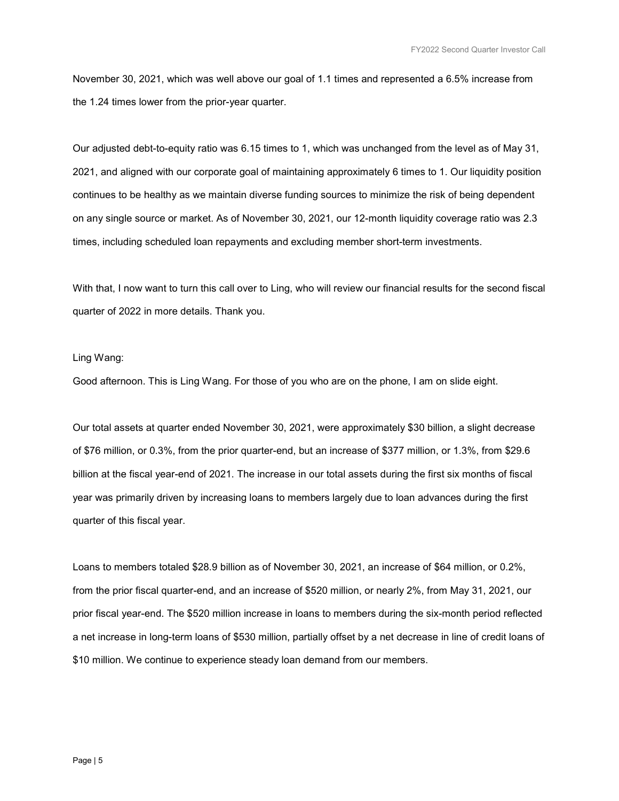November 30, 2021, which was well above our goal of 1.1 times and represented a 6.5% increase from the 1.24 times lower from the prior-year quarter.

Our adjusted debt-to-equity ratio was 6.15 times to 1, which was unchanged from the level as of May 31, 2021, and aligned with our corporate goal of maintaining approximately 6 times to 1. Our liquidity position continues to be healthy as we maintain diverse funding sources to minimize the risk of being dependent on any single source or market. As of November 30, 2021, our 12-month liquidity coverage ratio was 2.3 times, including scheduled loan repayments and excluding member short-term investments.

With that, I now want to turn this call over to Ling, who will review our financial results for the second fiscal quarter of 2022 in more details. Thank you.

#### Ling Wang:

Good afternoon. This is Ling Wang. For those of you who are on the phone, I am on slide eight.

Our total assets at quarter ended November 30, 2021, were approximately \$30 billion, a slight decrease of \$76 million, or 0.3%, from the prior quarter-end, but an increase of \$377 million, or 1.3%, from \$29.6 billion at the fiscal year-end of 2021. The increase in our total assets during the first six months of fiscal year was primarily driven by increasing loans to members largely due to loan advances during the first quarter of this fiscal year.

Loans to members totaled \$28.9 billion as of November 30, 2021, an increase of \$64 million, or 0.2%, from the prior fiscal quarter-end, and an increase of \$520 million, or nearly 2%, from May 31, 2021, our prior fiscal year-end. The \$520 million increase in loans to members during the six-month period reflected a net increase in long-term loans of \$530 million, partially offset by a net decrease in line of credit loans of \$10 million. We continue to experience steady loan demand from our members.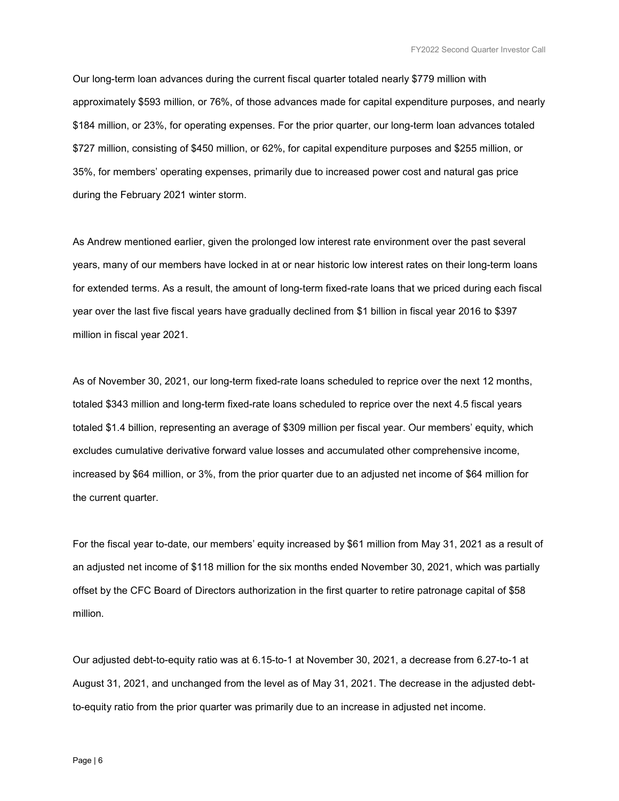Our long-term loan advances during the current fiscal quarter totaled nearly \$779 million with approximately \$593 million, or 76%, of those advances made for capital expenditure purposes, and nearly \$184 million, or 23%, for operating expenses. For the prior quarter, our long-term loan advances totaled \$727 million, consisting of \$450 million, or 62%, for capital expenditure purposes and \$255 million, or 35%, for members' operating expenses, primarily due to increased power cost and natural gas price during the February 2021 winter storm.

As Andrew mentioned earlier, given the prolonged low interest rate environment over the past several years, many of our members have locked in at or near historic low interest rates on their long-term loans for extended terms. As a result, the amount of long-term fixed-rate loans that we priced during each fiscal year over the last five fiscal years have gradually declined from \$1 billion in fiscal year 2016 to \$397 million in fiscal year 2021.

As of November 30, 2021, our long-term fixed-rate loans scheduled to reprice over the next 12 months, totaled \$343 million and long-term fixed-rate loans scheduled to reprice over the next 4.5 fiscal years totaled \$1.4 billion, representing an average of \$309 million per fiscal year. Our members' equity, which excludes cumulative derivative forward value losses and accumulated other comprehensive income, increased by \$64 million, or 3%, from the prior quarter due to an adjusted net income of \$64 million for the current quarter.

For the fiscal year to-date, our members' equity increased by \$61 million from May 31, 2021 as a result of an adjusted net income of \$118 million for the six months ended November 30, 2021, which was partially offset by the CFC Board of Directors authorization in the first quarter to retire patronage capital of \$58 million.

Our adjusted debt-to-equity ratio was at 6.15-to-1 at November 30, 2021, a decrease from 6.27-to-1 at August 31, 2021, and unchanged from the level as of May 31, 2021. The decrease in the adjusted debtto-equity ratio from the prior quarter was primarily due to an increase in adjusted net income.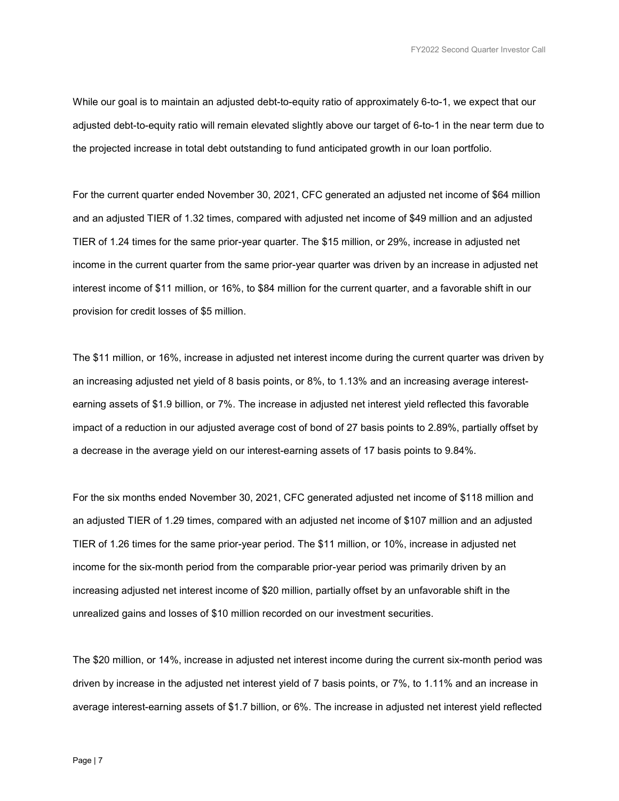While our goal is to maintain an adjusted debt-to-equity ratio of approximately 6-to-1, we expect that our adjusted debt-to-equity ratio will remain elevated slightly above our target of 6-to-1 in the near term due to the projected increase in total debt outstanding to fund anticipated growth in our loan portfolio.

For the current quarter ended November 30, 2021, CFC generated an adjusted net income of \$64 million and an adjusted TIER of 1.32 times, compared with adjusted net income of \$49 million and an adjusted TIER of 1.24 times for the same prior-year quarter. The \$15 million, or 29%, increase in adjusted net income in the current quarter from the same prior-year quarter was driven by an increase in adjusted net interest income of \$11 million, or 16%, to \$84 million for the current quarter, and a favorable shift in our provision for credit losses of \$5 million.

The \$11 million, or 16%, increase in adjusted net interest income during the current quarter was driven by an increasing adjusted net yield of 8 basis points, or 8%, to 1.13% and an increasing average interestearning assets of \$1.9 billion, or 7%. The increase in adjusted net interest yield reflected this favorable impact of a reduction in our adjusted average cost of bond of 27 basis points to 2.89%, partially offset by a decrease in the average yield on our interest-earning assets of 17 basis points to 9.84%.

For the six months ended November 30, 2021, CFC generated adjusted net income of \$118 million and an adjusted TIER of 1.29 times, compared with an adjusted net income of \$107 million and an adjusted TIER of 1.26 times for the same prior-year period. The \$11 million, or 10%, increase in adjusted net income for the six-month period from the comparable prior-year period was primarily driven by an increasing adjusted net interest income of \$20 million, partially offset by an unfavorable shift in the unrealized gains and losses of \$10 million recorded on our investment securities.

The \$20 million, or 14%, increase in adjusted net interest income during the current six-month period was driven by increase in the adjusted net interest yield of 7 basis points, or 7%, to 1.11% and an increase in average interest-earning assets of \$1.7 billion, or 6%. The increase in adjusted net interest yield reflected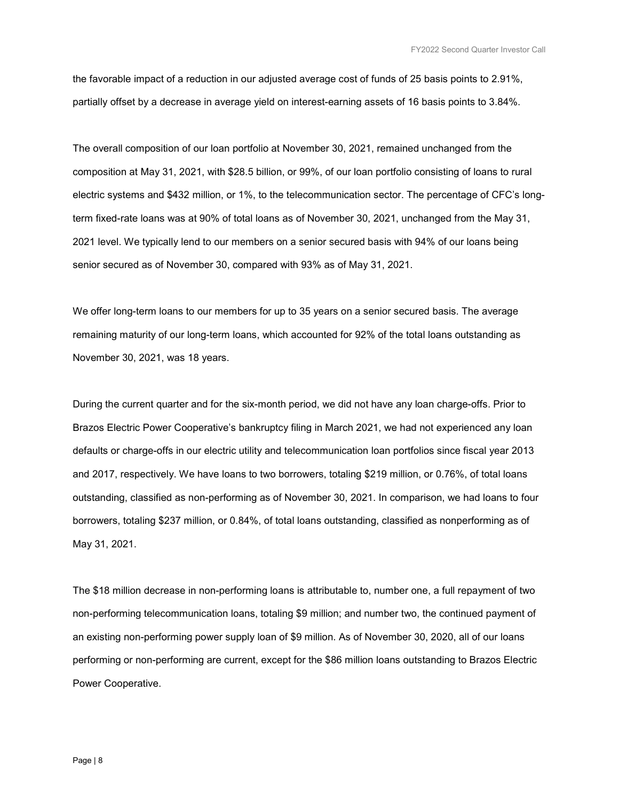the favorable impact of a reduction in our adjusted average cost of funds of 25 basis points to 2.91%, partially offset by a decrease in average yield on interest-earning assets of 16 basis points to 3.84%.

The overall composition of our loan portfolio at November 30, 2021, remained unchanged from the composition at May 31, 2021, with \$28.5 billion, or 99%, of our loan portfolio consisting of loans to rural electric systems and \$432 million, or 1%, to the telecommunication sector. The percentage of CFC's longterm fixed-rate loans was at 90% of total loans as of November 30, 2021, unchanged from the May 31, 2021 level. We typically lend to our members on a senior secured basis with 94% of our loans being senior secured as of November 30, compared with 93% as of May 31, 2021.

We offer long-term loans to our members for up to 35 years on a senior secured basis. The average remaining maturity of our long-term loans, which accounted for 92% of the total loans outstanding as November 30, 2021, was 18 years.

During the current quarter and for the six-month period, we did not have any loan charge-offs. Prior to Brazos Electric Power Cooperative's bankruptcy filing in March 2021, we had not experienced any loan defaults or charge-offs in our electric utility and telecommunication loan portfolios since fiscal year 2013 and 2017, respectively. We have loans to two borrowers, totaling \$219 million, or 0.76%, of total loans outstanding, classified as non-performing as of November 30, 2021. In comparison, we had loans to four borrowers, totaling \$237 million, or 0.84%, of total loans outstanding, classified as nonperforming as of May 31, 2021.

The \$18 million decrease in non-performing loans is attributable to, number one, a full repayment of two non-performing telecommunication loans, totaling \$9 million; and number two, the continued payment of an existing non-performing power supply loan of \$9 million. As of November 30, 2020, all of our loans performing or non-performing are current, except for the \$86 million loans outstanding to Brazos Electric Power Cooperative.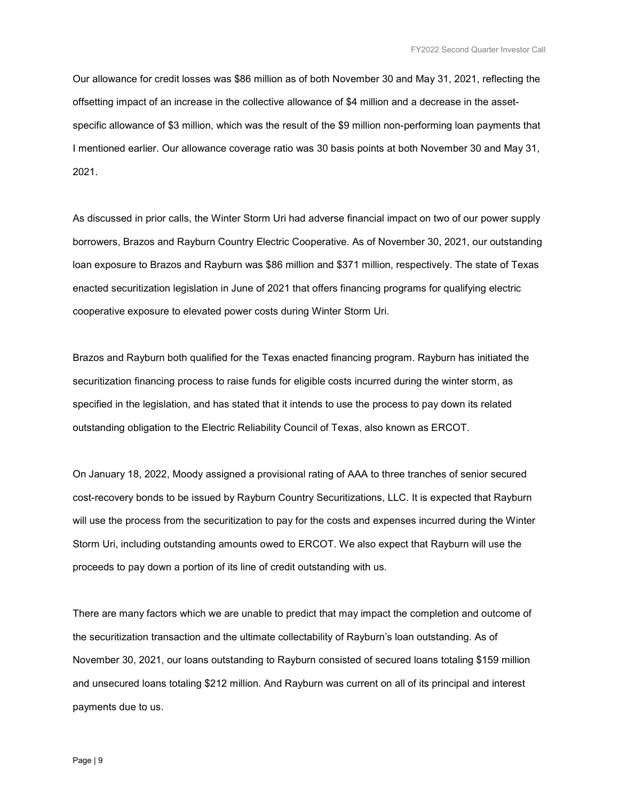Our allowance for credit losses was \$86 million as of both November 30 and May 31, 2021, reflecting the offsetting impact of an increase in the collective allowance of \$4 million and a decrease in the assetspecific allowance of \$3 million, which was the result of the \$9 million non-performing loan payments that I mentioned earlier. Our allowance coverage ratio was 30 basis points at both November 30 and May 31, 2021.

As discussed in prior calls, the Winter Storm Uri had adverse financial impact on two of our power supply borrowers, Brazos and Rayburn Country Electric Cooperative. As of November 30, 2021, our outstanding loan exposure to Brazos and Rayburn was \$86 million and \$371 million, respectively. The state of Texas enacted securitization legislation in June of 2021 that offers financing programs for qualifying electric cooperative exposure to elevated power costs during Winter Storm Uri.

Brazos and Rayburn both qualified for the Texas enacted financing program. Rayburn has initiated the securitization financing process to raise funds for eligible costs incurred during the winter storm, as specified in the legislation, and has stated that it intends to use the process to pay down its related outstanding obligation to the Electric Reliability Council of Texas, also known as ERCOT.

On January 18, 2022, Moody assigned a provisional rating of AAA to three tranches of senior secured cost-recovery bonds to be issued by Rayburn Country Securitizations, LLC. It is expected that Rayburn will use the process from the securitization to pay for the costs and expenses incurred during the Winter Storm Uri, including outstanding amounts owed to ERCOT. We also expect that Rayburn will use the proceeds to pay down a portion of its line of credit outstanding with us.

There are many factors which we are unable to predict that may impact the completion and outcome of the securitization transaction and the ultimate collectability of Rayburn's loan outstanding. As of November 30, 2021, our loans outstanding to Rayburn consisted of secured loans totaling \$159 million and unsecured loans totaling \$212 million. And Rayburn was current on all of its principal and interest payments due to us.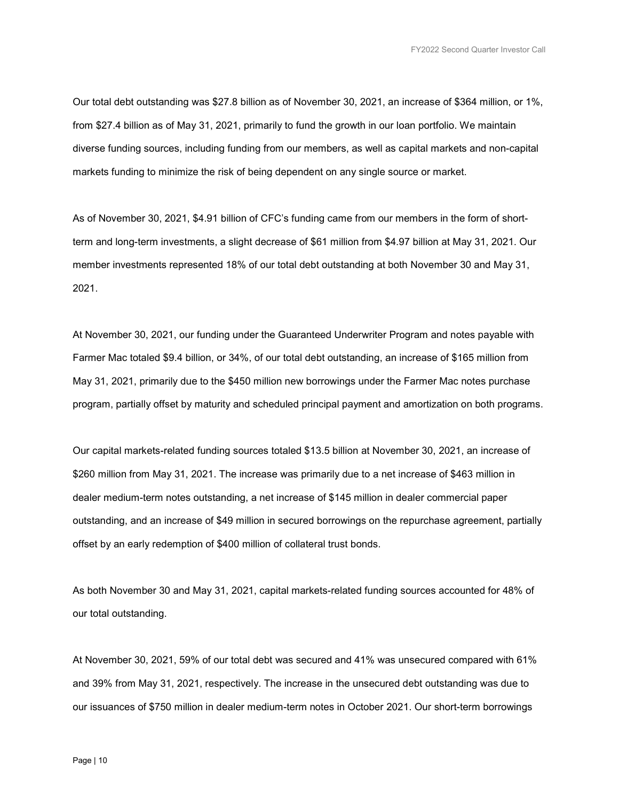Our total debt outstanding was \$27.8 billion as of November 30, 2021, an increase of \$364 million, or 1%, from \$27.4 billion as of May 31, 2021, primarily to fund the growth in our loan portfolio. We maintain diverse funding sources, including funding from our members, as well as capital markets and non-capital markets funding to minimize the risk of being dependent on any single source or market.

As of November 30, 2021, \$4.91 billion of CFC's funding came from our members in the form of shortterm and long-term investments, a slight decrease of \$61 million from \$4.97 billion at May 31, 2021. Our member investments represented 18% of our total debt outstanding at both November 30 and May 31, 2021.

At November 30, 2021, our funding under the Guaranteed Underwriter Program and notes payable with Farmer Mac totaled \$9.4 billion, or 34%, of our total debt outstanding, an increase of \$165 million from May 31, 2021, primarily due to the \$450 million new borrowings under the Farmer Mac notes purchase program, partially offset by maturity and scheduled principal payment and amortization on both programs.

Our capital markets-related funding sources totaled \$13.5 billion at November 30, 2021, an increase of \$260 million from May 31, 2021. The increase was primarily due to a net increase of \$463 million in dealer medium-term notes outstanding, a net increase of \$145 million in dealer commercial paper outstanding, and an increase of \$49 million in secured borrowings on the repurchase agreement, partially offset by an early redemption of \$400 million of collateral trust bonds.

As both November 30 and May 31, 2021, capital markets-related funding sources accounted for 48% of our total outstanding.

At November 30, 2021, 59% of our total debt was secured and 41% was unsecured compared with 61% and 39% from May 31, 2021, respectively. The increase in the unsecured debt outstanding was due to our issuances of \$750 million in dealer medium-term notes in October 2021. Our short-term borrowings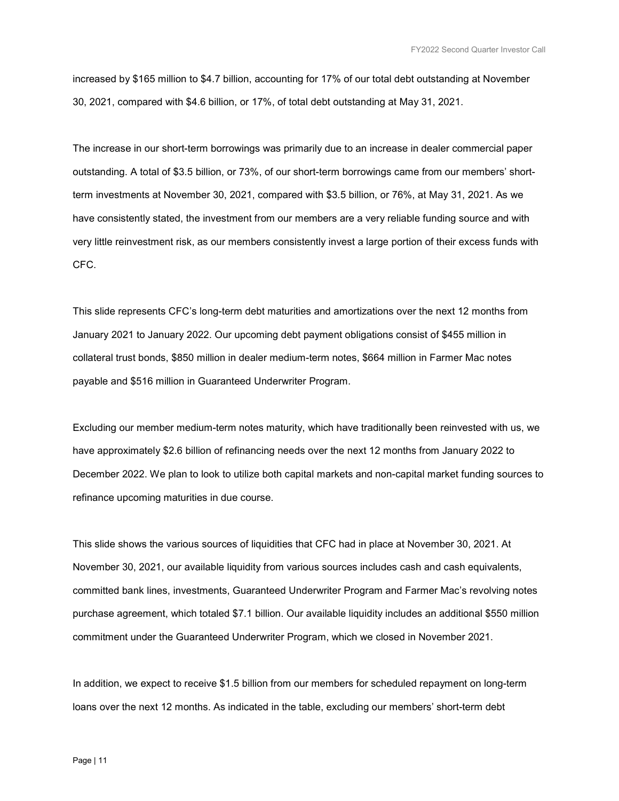increased by \$165 million to \$4.7 billion, accounting for 17% of our total debt outstanding at November 30, 2021, compared with \$4.6 billion, or 17%, of total debt outstanding at May 31, 2021.

The increase in our short-term borrowings was primarily due to an increase in dealer commercial paper outstanding. A total of \$3.5 billion, or 73%, of our short-term borrowings came from our members' shortterm investments at November 30, 2021, compared with \$3.5 billion, or 76%, at May 31, 2021. As we have consistently stated, the investment from our members are a very reliable funding source and with very little reinvestment risk, as our members consistently invest a large portion of their excess funds with CFC.

This slide represents CFC's long-term debt maturities and amortizations over the next 12 months from January 2021 to January 2022. Our upcoming debt payment obligations consist of \$455 million in collateral trust bonds, \$850 million in dealer medium-term notes, \$664 million in Farmer Mac notes payable and \$516 million in Guaranteed Underwriter Program.

Excluding our member medium-term notes maturity, which have traditionally been reinvested with us, we have approximately \$2.6 billion of refinancing needs over the next 12 months from January 2022 to December 2022. We plan to look to utilize both capital markets and non-capital market funding sources to refinance upcoming maturities in due course.

This slide shows the various sources of liquidities that CFC had in place at November 30, 2021. At November 30, 2021, our available liquidity from various sources includes cash and cash equivalents, committed bank lines, investments, Guaranteed Underwriter Program and Farmer Mac's revolving notes purchase agreement, which totaled \$7.1 billion. Our available liquidity includes an additional \$550 million commitment under the Guaranteed Underwriter Program, which we closed in November 2021.

In addition, we expect to receive \$1.5 billion from our members for scheduled repayment on long-term loans over the next 12 months. As indicated in the table, excluding our members' short-term debt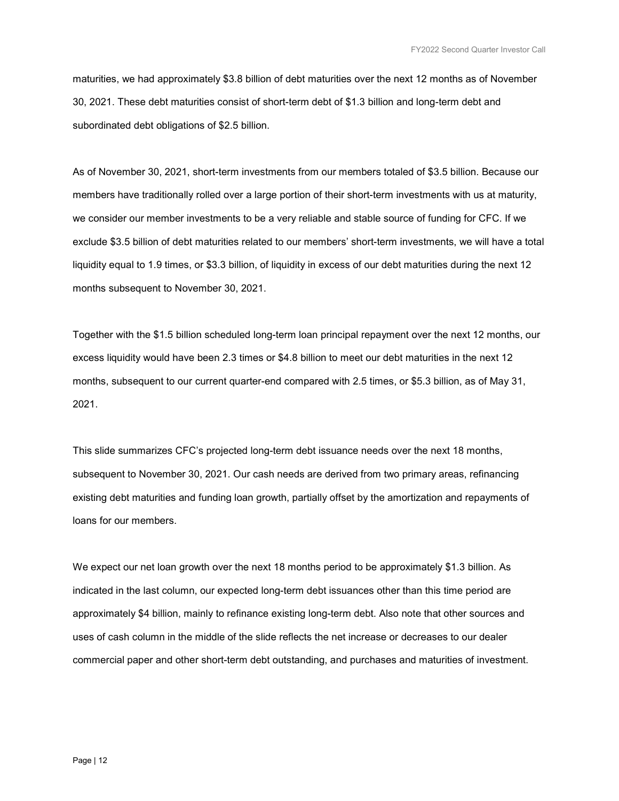maturities, we had approximately \$3.8 billion of debt maturities over the next 12 months as of November 30, 2021. These debt maturities consist of short-term debt of \$1.3 billion and long-term debt and subordinated debt obligations of \$2.5 billion.

As of November 30, 2021, short-term investments from our members totaled of \$3.5 billion. Because our members have traditionally rolled over a large portion of their short-term investments with us at maturity, we consider our member investments to be a very reliable and stable source of funding for CFC. If we exclude \$3.5 billion of debt maturities related to our members' short-term investments, we will have a total liquidity equal to 1.9 times, or \$3.3 billion, of liquidity in excess of our debt maturities during the next 12 months subsequent to November 30, 2021.

Together with the \$1.5 billion scheduled long-term loan principal repayment over the next 12 months, our excess liquidity would have been 2.3 times or \$4.8 billion to meet our debt maturities in the next 12 months, subsequent to our current quarter-end compared with 2.5 times, or \$5.3 billion, as of May 31, 2021.

This slide summarizes CFC's projected long-term debt issuance needs over the next 18 months, subsequent to November 30, 2021. Our cash needs are derived from two primary areas, refinancing existing debt maturities and funding loan growth, partially offset by the amortization and repayments of loans for our members.

We expect our net loan growth over the next 18 months period to be approximately \$1.3 billion. As indicated in the last column, our expected long-term debt issuances other than this time period are approximately \$4 billion, mainly to refinance existing long-term debt. Also note that other sources and uses of cash column in the middle of the slide reflects the net increase or decreases to our dealer commercial paper and other short-term debt outstanding, and purchases and maturities of investment.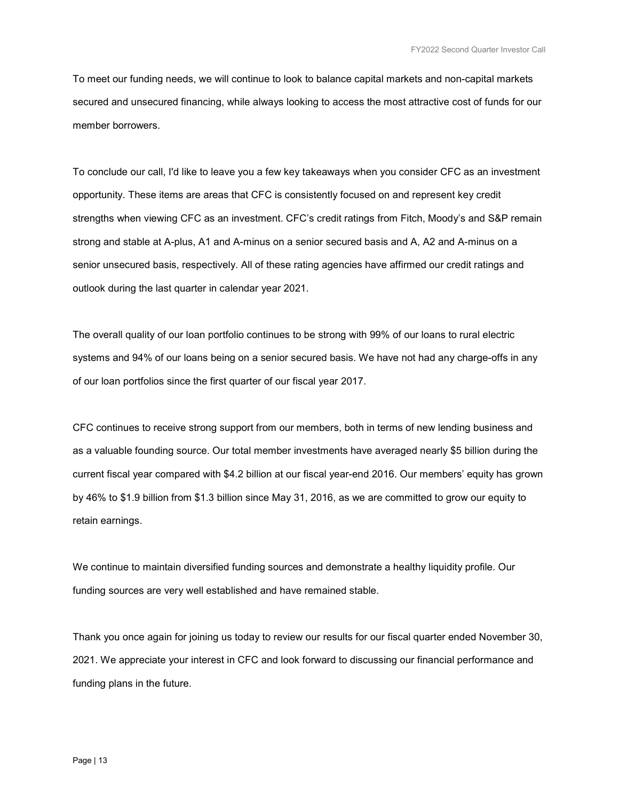To meet our funding needs, we will continue to look to balance capital markets and non-capital markets secured and unsecured financing, while always looking to access the most attractive cost of funds for our member borrowers.

To conclude our call, I'd like to leave you a few key takeaways when you consider CFC as an investment opportunity. These items are areas that CFC is consistently focused on and represent key credit strengths when viewing CFC as an investment. CFC's credit ratings from Fitch, Moody's and S&P remain strong and stable at A-plus, A1 and A-minus on a senior secured basis and A, A2 and A-minus on a senior unsecured basis, respectively. All of these rating agencies have affirmed our credit ratings and outlook during the last quarter in calendar year 2021.

The overall quality of our loan portfolio continues to be strong with 99% of our loans to rural electric systems and 94% of our loans being on a senior secured basis. We have not had any charge-offs in any of our loan portfolios since the first quarter of our fiscal year 2017.

CFC continues to receive strong support from our members, both in terms of new lending business and as a valuable founding source. Our total member investments have averaged nearly \$5 billion during the current fiscal year compared with \$4.2 billion at our fiscal year-end 2016. Our members' equity has grown by 46% to \$1.9 billion from \$1.3 billion since May 31, 2016, as we are committed to grow our equity to retain earnings.

We continue to maintain diversified funding sources and demonstrate a healthy liquidity profile. Our funding sources are very well established and have remained stable.

Thank you once again for joining us today to review our results for our fiscal quarter ended November 30, 2021. We appreciate your interest in CFC and look forward to discussing our financial performance and funding plans in the future.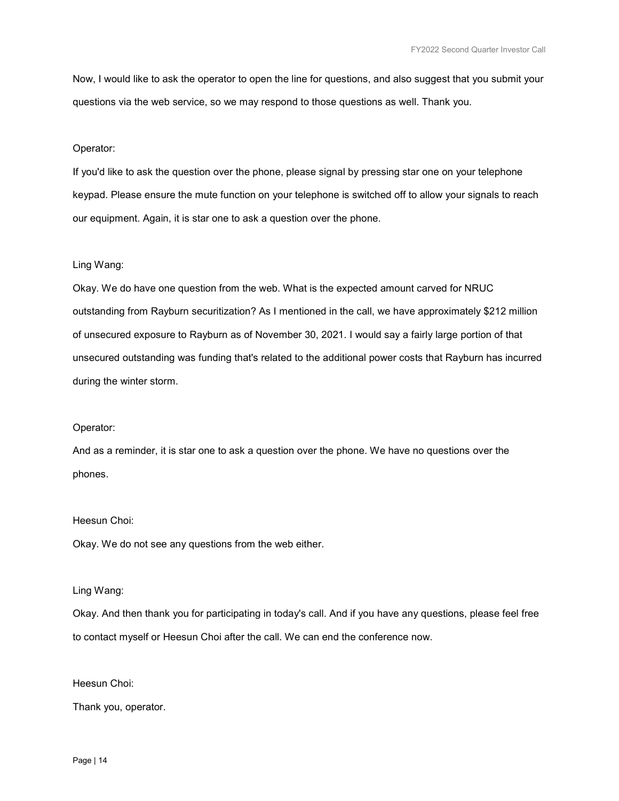Now, I would like to ask the operator to open the line for questions, and also suggest that you submit your questions via the web service, so we may respond to those questions as well. Thank you.

### Operator:

If you'd like to ask the question over the phone, please signal by pressing star one on your telephone keypad. Please ensure the mute function on your telephone is switched off to allow your signals to reach our equipment. Again, it is star one to ask a question over the phone.

# Ling Wang:

Okay. We do have one question from the web. What is the expected amount carved for NRUC outstanding from Rayburn securitization? As I mentioned in the call, we have approximately \$212 million of unsecured exposure to Rayburn as of November 30, 2021. I would say a fairly large portion of that unsecured outstanding was funding that's related to the additional power costs that Rayburn has incurred during the winter storm.

# Operator:

And as a reminder, it is star one to ask a question over the phone. We have no questions over the phones.

#### Heesun Choi:

Okay. We do not see any questions from the web either.

#### Ling Wang:

Okay. And then thank you for participating in today's call. And if you have any questions, please feel free to contact myself or Heesun Choi after the call. We can end the conference now.

#### Heesun Choi:

Thank you, operator.